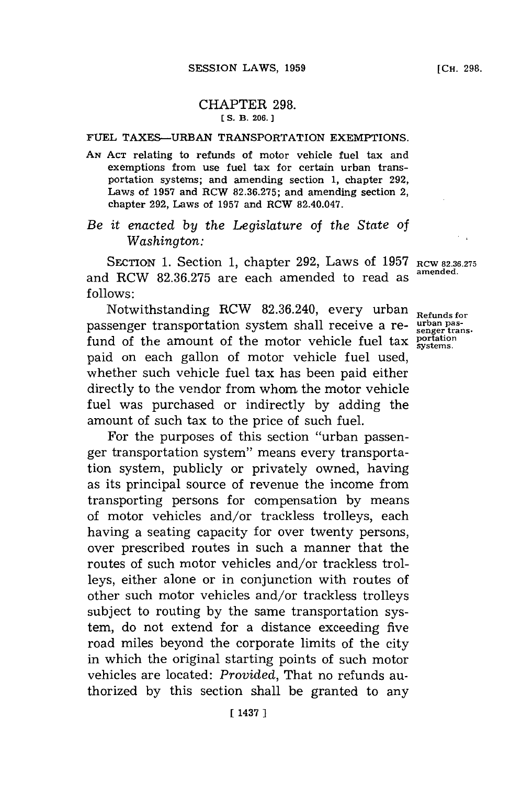## CHAPTER **298. [ S. B. 206.**

## **FUEL TAXES-URBAN** TRANSPORTATION EXEMPTIONS.

**AN ACT** relating to refunds of motor vehicle fuel tax and exemptions from use fuel tax for certain urban transportation systems; and amending section **1,** chapter **292,** Laws of **1957** and RCW **82.36.275;** and amending section 2, chapter **292,** Laws of **1957** and RCW 82.40.047.

## *Be it enacted by the Legislature of the State of Washington:*

SECTION **1.** Section **1,** chapter **292,** Laws of **1957 RCW 82.36.275 amended.** and RCW **82.36.275** are each amended to read as **f ollows:**

Notwithstanding RCW 82.36.240, every urban Refunds for passenger transportation system shall receive a re- **urban pas**fund of the amount of the motor vehicle fuel tax  $\frac{\text{potential}}{\text{systems}}$ . paid on each gallon of motor vehicle fuel used, whether such vehicle fuel tax has been paid either directly to the vendor from whom the motor vehicle fuel was purchased or indirectly **by** adding the amount of such tax to the price of such fuel.

For the purposes of this section "urban passenger transportation system" means every transportation system, publicly or privately owned, having as its principal source of revenue the income from transporting persons for compensation **by** means of motor vehicles and/or trackless trolleys, each having a seating capacity for over twenty persons, over prescribed routes in such a manner that the routes of such motor vehicles and/or trackless trolleys, either alone or in conjunction with routes of other such motor vehicles and/or trackless trolleys subject to routing **by** the same transportation system, do not extend for a distance exceeding five road miles beyond the corporate limits of the city in which the original starting points of such motor vehicles are located: *Provided,* That no refunds authorized **by** this section shall be granted to any